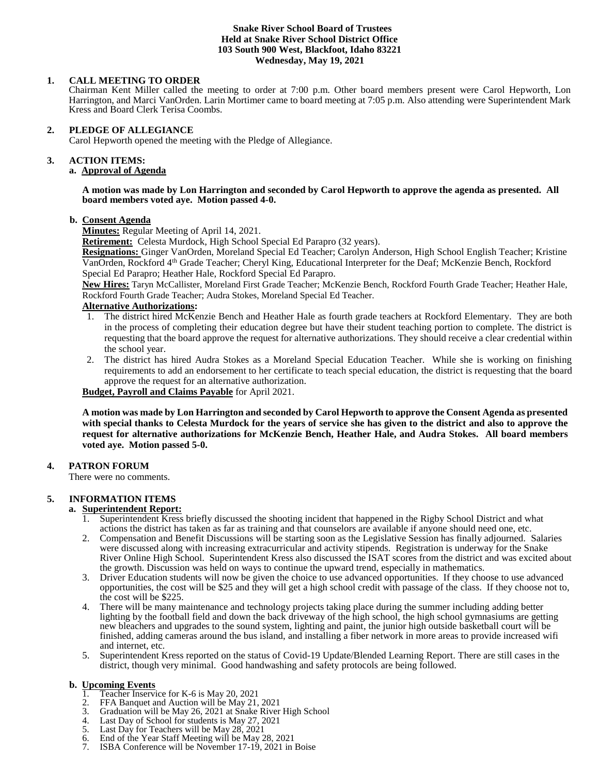#### **Snake River School Board of Trustees Held at Snake River School District Office 103 South 900 West, Blackfoot, Idaho 83221 Wednesday, May 19, 2021**

## **1. CALL MEETING TO ORDER**

Chairman Kent Miller called the meeting to order at 7:00 p.m. Other board members present were Carol Hepworth, Lon Harrington, and Marci VanOrden. Larin Mortimer came to board meeting at 7:05 p.m. Also attending were Superintendent Mark Kress and Board Clerk Terisa Coombs.

### **2. PLEDGE OF ALLEGIANCE**

Carol Hepworth opened the meeting with the Pledge of Allegiance.

# **3. ACTION ITEMS:**

# **a. Approval of Agenda**

#### **A motion was made by Lon Harrington and seconded by Carol Hepworth to approve the agenda as presented. All board members voted aye. Motion passed 4-0.**

### **b. Consent Agenda**

**Minutes:** Regular Meeting of April 14, 2021.

**Retirement:** Celesta Murdock, High School Special Ed Parapro (32 years).

**Resignations:** Ginger VanOrden, Moreland Special Ed Teacher; Carolyn Anderson, High School English Teacher; Kristine VanOrden, Rockford 4th Grade Teacher; Cheryl King, Educational Interpreter for the Deaf; McKenzie Bench, Rockford Special Ed Parapro; Heather Hale, Rockford Special Ed Parapro.

**New Hires:** Taryn McCallister, Moreland First Grade Teacher; McKenzie Bench, Rockford Fourth Grade Teacher; Heather Hale, Rockford Fourth Grade Teacher; Audra Stokes, Moreland Special Ed Teacher.

## **Alternative Authorizations:**

- 1. The district hired McKenzie Bench and Heather Hale as fourth grade teachers at Rockford Elementary. They are both in the process of completing their education degree but have their student teaching portion to complete. The district is requesting that the board approve the request for alternative authorizations. They should receive a clear credential within the school year.
- 2. The district has hired Audra Stokes as a Moreland Special Education Teacher. While she is working on finishing requirements to add an endorsement to her certificate to teach special education, the district is requesting that the board approve the request for an alternative authorization.

**Budget, Payroll and Claims Payable** for April 2021.

**A motion was made by Lon Harrington and seconded by Carol Hepworth to approve the Consent Agenda as presented with special thanks to Celesta Murdock for the years of service she has given to the district and also to approve the request for alternative authorizations for McKenzie Bench, Heather Hale, and Audra Stokes. All board members voted aye. Motion passed 5-0.** 

### **4. PATRON FORUM**

There were no comments.

### **5. INFORMATION ITEMS**

### **a. Superintendent Report:**

- 1. Superintendent Kress briefly discussed the shooting incident that happened in the Rigby School District and what actions the district has taken as far as training and that counselors are available if anyone should need one, etc.
- 2. Compensation and Benefit Discussions will be starting soon as the Legislative Session has finally adjourned. Salaries were discussed along with increasing extracurricular and activity stipends. Registration is underway for the Snake River Online High School. Superintendent Kress also discussed the ISAT scores from the district and was excited about the growth. Discussion was held on ways to continue the upward trend, especially in mathematics.
- 3. Driver Education students will now be given the choice to use advanced opportunities. If they choose to use advanced opportunities, the cost will be \$25 and they will get a high school credit with passage of the class. If they choose not to, the cost will be \$225.
- 4. There will be many maintenance and technology projects taking place during the summer including adding better lighting by the football field and down the back driveway of the high school, the high school gymnasiums are getting new bleachers and upgrades to the sound system, lighting and paint, the junior high outside basketball court will be finished, adding cameras around the bus island, and installing a fiber network in more areas to provide increased wifi and internet, etc.
- 5. Superintendent Kress reported on the status of Covid-19 Update/Blended Learning Report. There are still cases in the district, though very minimal. Good handwashing and safety protocols are being followed.

# **b. <u>Upcoming Events</u>**<br>1. **Teacher Inservi**

- 1. Teacher Inservice for K-6 is May 20, 2021<br>2. FEA Banquet and Auction will be May 21.
- 2. FFA Banquet and Auction will be May 21, 2021<br>3. Graduation will be May 26, 2021 at Snake River
- 3. Graduation will be May 26, 2021 at Snake River High School
- 4. Last Day of School for students is May 27, 2021<br>5. Last Day for Teachers will be May 28, 2021
- Last Day for Teachers will be May 28, 2021
- 6. End of the Year Staff Meeting will be May 28, 2021
- 18BA Conference will be November 17-19, 2021 in Boise